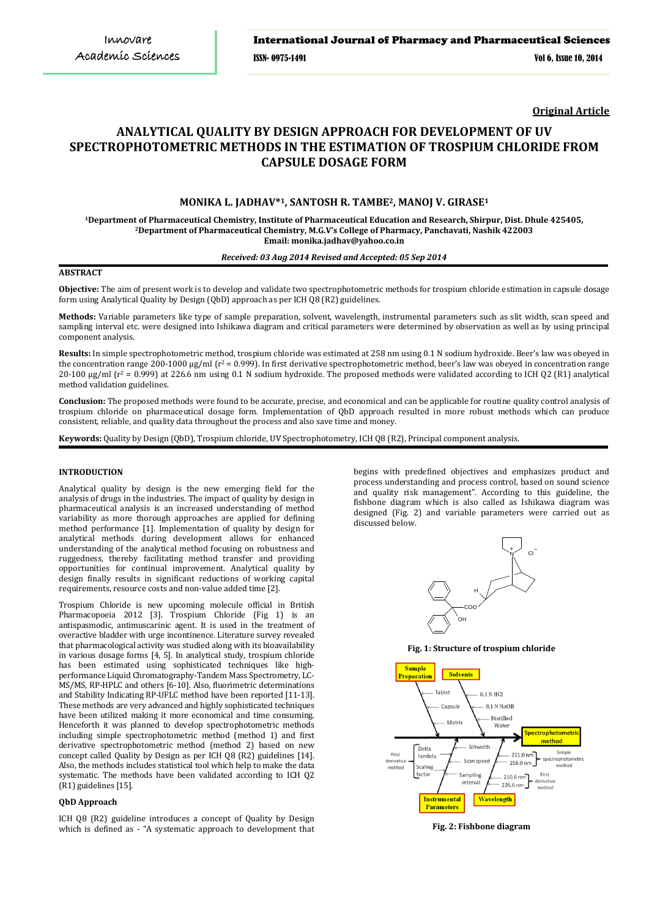**Original Article**

# **ANALYTICAL QUALITY BY DESIGN APPROACH FOR DEVELOPMENT OF UV SPECTROPHOTOMETRIC METHODS IN THE ESTIMATION OF TROSPIUM CHLORIDE FROM CAPSULE DOSAGE FORM**

# **MONIKA L. JADHAV\*1, SANTOSH R. TAMBE2, MANOJ V. GIRASE1**

**1Department of Pharmaceutical Chemistry, Institute of Pharmaceutical Education and Research, Shirpur, Dist. Dhule 425405, 2 Department of Pharmaceutical Chemistry, M.G.V's College of Pharmacy, Panchavati, Nashik 422003 Email: monika.jadhav@yahoo.co.in**

# *Received: 03 Aug 2014 Revised and Accepted: 05 Sep 2014*

# **ABSTRACT**

**Objective:** The aim of present work is to develop and validate two spectrophotometric methods for trospium chloride estimation in capsule dosage form using Analytical Quality by Design (QbD) approach as per ICH Q8 (R2) guidelines.

**Methods:** Variable parameters like type of sample preparation, solvent, wavelength, instrumental parameters such as slit width, scan speed and sampling interval etc. were designed into Ishikawa diagram and critical parameters were determined by observation as well as by using principal component analysis.

**Results:** In simple spectrophotometric method, trospium chloride was estimated at 258 nm using 0.1 N sodium hydroxide. Beer's law was obeyed in the concentration range 200-1000 μg/ml (r<sup>2</sup> = 0.999). In first derivative spectrophotometric method, beer's law was obeyed in concentration range 20-100 μg/ml ( $r^2$  = 0.999) at 226.6 nm using 0.1 N sodium hydroxide. The proposed methods were validated according to ICH Q2 (R1) analytical method validation guidelines.

**Conclusion:** The proposed methods were found to be accurate, precise, and economical and can be applicable for routine quality control analysis of trospium chloride on pharmaceutical dosage form. Implementation of QbD approach resulted in more robust methods which can produce consistent, reliable, and quality data throughout the process and also save time and money.

**Keywords:** Quality by Design (QbD), Trospium chloride, UV Spectrophotometry, ICH Q8 (R2), Principal component analysis.

## **INTRODUCTION**

Analytical quality by design is the new emerging field for the analysis of drugs in the industries. The impact of quality by design in pharmaceutical analysis is an increased understanding of method variability as more thorough approaches are applied for defining method performance [1]. Implementation of quality by design for analytical methods during development allows for enhanced understanding of the analytical method focusing on robustness and ruggedness, thereby facilitating method transfer and providing opportunities for continual improvement. Analytical quality by design finally results in significant reductions of working capital requirements, resource costs and non-value added time [2].

Trospium Chloride is new upcoming molecule official in British Pharmacopoeia 2012 [3]. Trospium Chloride (Fig 1) is an antispasmodic, antimuscarinic agent. It is used in the treatment of overactive bladder with urge incontinence. Literature survey revealed that pharmacological activity was studied along with its bioavailability in various dosage forms [4, 5]. In analytical study, trospium chloride has been estimated using sophisticated techniques like highperformance Liquid Chromatography-Tandem Mass Spectrometry, LC-MS/MS, RP-HPLC and others [6-10]. Also, fluorimetric determinations and Stability Indicating RP-UFLC method have been reported [11-13]. These methods are very advanced and highly sophisticated techniques have been utilized making it more economical and time consuming. Henceforth it was planned to develop spectrophotometric methods including simple spectrophotometric method (method 1) and first derivative spectrophotometric method (method 2) based on new concept called Quality by Design as per ICH Q8 (R2) guidelines [14]. Also, the methods includes statistical tool which help to make the data systematic. The methods have been validated according to ICH Q2 (R1) guidelines [15].

#### **QbD Approach**

ICH Q8 (R2) guideline introduces a concept of Quality by Design which is defined as - "A systematic approach to development that begins with predefined objectives and emphasizes product and process understanding and process control, based on sound science and quality risk management". According to this guideline, the fishbone diagram which is also called as Ishikawa diagram was designed (Fig. 2) and variable parameters were carried out as discussed below.



**Fig. 1: Structure of trospium chloride**



**Fig. 2: Fishbone diagram**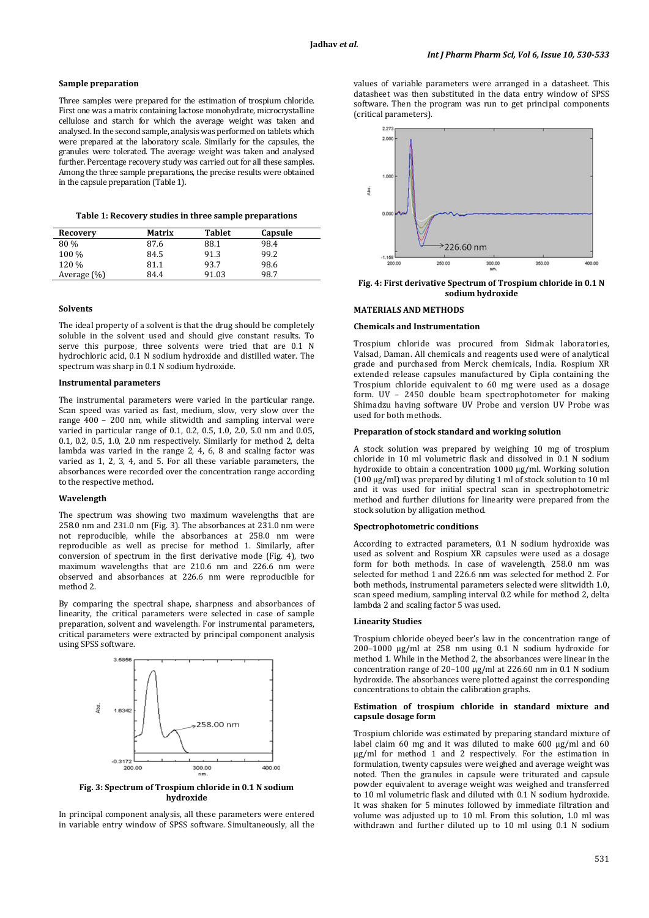## **Sample preparation**

Three samples were prepared for the estimation of trospium chloride. First one was a matrix containing lactose monohydrate, microcrystalline cellulose and starch for which the average weight was taken and analysed. In the second sample, analysis was performed on tablets which were prepared at the laboratory scale. Similarly for the capsules, the granules were tolerated. The average weight was taken and analysed further. Percentage recovery study was carried out for all these samples. Among the three sample preparations, the precise results were obtained in the capsule preparation (Table 1).

| Table 1: Recovery studies in three sample preparations |  |  |  |  |  |  |  |
|--------------------------------------------------------|--|--|--|--|--|--|--|
|--------------------------------------------------------|--|--|--|--|--|--|--|

| Recovery       | Matrix | <b>Tablet</b> | Capsule |
|----------------|--------|---------------|---------|
| 80%            | 87.6   | 88.1          | 98.4    |
| 100 %          | 84.5   | 91.3          | 99.2    |
| 120 %          | 81.1   | 93.7          | 98.6    |
| Average $(\%)$ | 84.4   | 91.03         | 98.7    |
|                |        |               |         |

#### **Solvents**

The ideal property of a solvent is that the drug should be completely soluble in the solvent used and should give constant results. To serve this purpose, three solvents were tried that are 0.1 N hydrochloric acid, 0.1 N sodium hydroxide and distilled water. The spectrum was sharp in 0.1 N sodium hydroxide.

## **Instrumental parameters**

The instrumental parameters were varied in the particular range. Scan speed was varied as fast, medium, slow, very slow over the range 400 – 200 nm, while slitwidth and sampling interval were varied in particular range of 0.1, 0.2, 0.5, 1.0, 2.0, 5.0 nm and 0.05, 0.1, 0.2, 0.5, 1.0, 2.0 nm respectively. Similarly for method 2, delta lambda was varied in the range 2, 4, 6, 8 and scaling factor was varied as 1, 2, 3, 4, and 5. For all these variable parameters, the absorbances were recorded over the concentration range according to the respective method**.**

## **Wavelength**

The spectrum was showing two maximum wavelengths that are 258.0 nm and 231.0 nm (Fig. 3). The absorbances at 231.0 nm were not reproducible, while the absorbances at 258.0 nm were reproducible as well as precise for method 1. Similarly, after conversion of spectrum in the first derivative mode (Fig. 4), two maximum wavelengths that are 210.6 nm and 226.6 nm were observed and absorbances at 226.6 nm were reproducible for method 2.

By comparing the spectral shape, sharpness and absorbances of linearity, the critical parameters were selected in case of sample preparation, solvent and wavelength. For instrumental parameters, critical parameters were extracted by principal component analysis using SPSS software.



**Fig. 3: Spectrum of Trospium chloride in 0.1 N sodium hydroxide**

In principal component analysis, all these parameters were entered in variable entry window of SPSS software. Simultaneously, all the values of variable parameters were arranged in a datasheet. This datasheet was then substituted in the data entry window of SPSS software. Then the program was run to get principal components (critical parameters).



**Fig. 4: First derivative Spectrum of Trospium chloride in 0.1 N sodium hydroxide**

## **MATERIALS AND METHODS**

## **Chemicals and Instrumentation**

Trospium chloride was procured from Sidmak laboratories, Valsad, Daman. All chemicals and reagents used were of analytical grade and purchased from Merck chemicals, India. Rospium XR extended release capsules manufactured by Cipla containing the Trospium chloride equivalent to 60 mg were used as a dosage form. UV – 2450 double beam spectrophotometer for making Shimadzu having software UV Probe and version UV Probe was used for both methods.

#### **Preparation of stock standard and working solution**

A stock solution was prepared by weighing 10 mg of trospium chloride in 10 ml volumetric flask and dissolved in 0.1 N sodium hydroxide to obtain a concentration 1000 µg/ml. Working solution (100 µg/ml) was prepared by diluting 1 ml of stock solution to 10 ml and it was used for initial spectral scan in spectrophotometric method and further dilutions for linearity were prepared from the stock solution by alligation method.

#### **Spectrophotometric conditions**

According to extracted parameters, 0.1 N sodium hydroxide was used as solvent and Rospium XR capsules were used as a dosage form for both methods. In case of wavelength, 258.0 nm was selected for method 1 and 226.6 nm was selected for method 2. For both methods, instrumental parameters selected were slitwidth 1.0, scan speed medium, sampling interval 0.2 while for method 2, delta lambda 2 and scaling factor 5 was used.

## **Linearity Studies**

Trospium chloride obeyed beer's law in the concentration range of 200–1000 μg/ml at 258 nm using 0.1 N sodium hydroxide for method 1. While in the Method 2, the absorbances were linear in the concentration range of 20–100 μg/ml at 226.60 nm in 0.1 N sodium hydroxide. The absorbances were plotted against the corresponding concentrations to obtain the calibration graphs.

#### **Estimation of trospium chloride in standard mixture and capsule dosage form**

Trospium chloride was estimated by preparing standard mixture of label claim 60 mg and it was diluted to make 600 µg/ml and 60 µg/ml for method 1 and 2 respectively. For the estimation in formulation, twenty capsules were weighed and average weight was noted. Then the granules in capsule were triturated and capsule powder equivalent to average weight was weighed and transferred to 10 ml volumetric flask and diluted with 0.1 N sodium hydroxide. It was shaken for 5 minutes followed by immediate filtration and volume was adjusted up to 10 ml. From this solution, 1.0 ml was withdrawn and further diluted up to 10 ml using 0.1 N sodium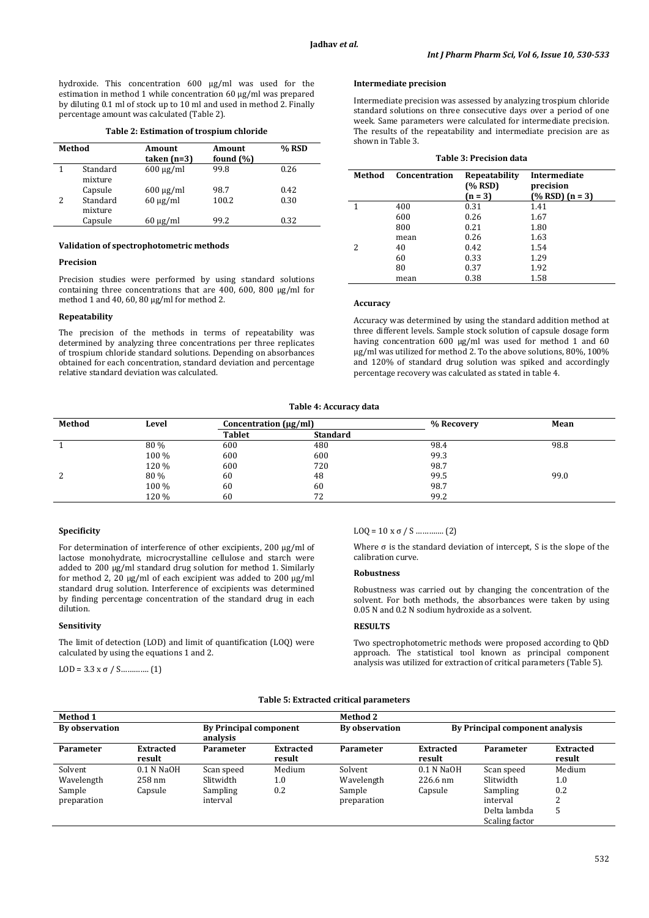hydroxide. This concentration 600 μg/ml was used for the estimation in method 1 while concentration 60 μg/ml was prepared by diluting 0.1 ml of stock up to 10 ml and used in method 2. Finally percentage amount was calculated (Table 2).

#### **Table 2: Estimation of trospium chloride**

| Method |                     | Amount<br>taken $(n=3)$ | Amount<br>found $(\% )$ | % RSD |
|--------|---------------------|-------------------------|-------------------------|-------|
|        | Standard<br>mixture | $600 \mu g/ml$          | 99.8                    | 0.26  |
|        | Capsule             | $600 \mu g/ml$          | 98.7                    | 0.42  |
|        | Standard<br>mixture | $60 \mu g/ml$           | 100.2                   | 0.30  |
|        | Capsule             | $60 \mu g/ml$           | 99.2                    | 0.32  |
|        |                     |                         |                         |       |

## **Validation of spectrophotometric methods**

#### **Precision**

Precision studies were performed by using standard solutions containing three concentrations that are 400, 600, 800 μg/ml for method 1 and 40, 60, 80 μg/ml for method 2.

## **Repeatability**

The precision of the methods in terms of repeatability was determined by analyzing three concentrations per three replicates of trospium chloride standard solutions. Depending on absorbances obtained for each concentration, standard deviation and percentage relative standard deviation was calculated.

## **Intermediate precision**

Intermediate precision was assessed by analyzing trospium chloride standard solutions on three consecutive days over a period of one week. Same parameters were calculated for intermediate precision. The results of the repeatability and intermediate precision are as shown in Table 3.

| <b>Table 3: Precision data</b> |               |                                        |                                                        |  |  |  |
|--------------------------------|---------------|----------------------------------------|--------------------------------------------------------|--|--|--|
| Method                         | Concentration | Repeatability<br>$(\%$ RSD)<br>$(n=3)$ | <b>Intermediate</b><br>precision<br>$(\% RSD)$ (n = 3) |  |  |  |
|                                | 400           | 0.31                                   | 1.41                                                   |  |  |  |
|                                | 600           | 0.26                                   | 1.67                                                   |  |  |  |
|                                | 800           | 0.21                                   | 1.80                                                   |  |  |  |
|                                | mean          | 0.26                                   | 1.63                                                   |  |  |  |
| 2                              | 40            | 0.42                                   | 1.54                                                   |  |  |  |
|                                | 60            | 0.33                                   | 1.29                                                   |  |  |  |
|                                | 80            | 0.37                                   | 1.92                                                   |  |  |  |
|                                | mean          | 0.38                                   | 1.58                                                   |  |  |  |

# **Accuracy**

Accuracy was determined by using the standard addition method at three different levels. Sample stock solution of capsule dosage form having concentration 600 µg/ml was used for method 1 and 60 µg/ml was utilized for method 2. To the above solutions, 80%, 100% and 120% of standard drug solution was spiked and accordingly percentage recovery was calculated as stated in table 4.

#### **Table 4: Accuracy data**

| Method | Level | Concentration $(\mu g/ml)$ |                 | % Recovery | Mean |
|--------|-------|----------------------------|-----------------|------------|------|
|        |       | <b>Tablet</b>              | <b>Standard</b> |            |      |
|        | 80 %  | 600                        | 480             | 98.4       | 98.8 |
|        | 100 % | 600                        | 600             | 99.3       |      |
|        | 120 % | 600                        | 720             | 98.7       |      |
| 2      | 80 %  | 60                         | 48              | 99.5       | 99.0 |
|        | 100 % | 60                         | 60              | 98.7       |      |
|        | 120 % | 60                         | 72              | 99.2       |      |

## **Specificity**

For determination of interference of other excipients, 200 µg/ml of lactose monohydrate, microcrystalline cellulose and starch were added to 200 µg/ml standard drug solution for method 1. Similarly for method 2, 20  $\mu$ g/ml of each excipient was added to 200  $\mu$ g/ml standard drug solution. Interference of excipients was determined by finding percentage concentration of the standard drug in each dilution.

## **Sensitivity**

The limit of detection (LOD) and limit of quantification (LOQ) were calculated by using the equations 1 and 2.

LOD = 3.3 x σ / S ... (1)

## LOQ = 10 x σ / S …………. (2)

Where  $\sigma$  is the standard deviation of intercept, S is the slope of the calibration curve.

# **Robustness**

Robustness was carried out by changing the concentration of the solvent. For both methods, the absorbances were taken by using 0.05 N and 0.2 N sodium hydroxide as a solvent.

#### **RESULTS**

Two spectrophotometric methods were proposed according to QbD approach. The statistical tool known as principal component analysis was utilized for extraction of critical parameters (Table 5).

## **Table 5: Extracted critical parameters**

| <b>Method 1</b>  |                            |                                           |                            | <b>Method 2</b> |                            |                                 |                            |
|------------------|----------------------------|-------------------------------------------|----------------------------|-----------------|----------------------------|---------------------------------|----------------------------|
| By observation   |                            | <b>By Principal component</b><br>analysis |                            | By observation  |                            | By Principal component analysis |                            |
| <b>Parameter</b> | <b>Extracted</b><br>result | Parameter                                 | <b>Extracted</b><br>result | Parameter       | <b>Extracted</b><br>result | Parameter                       | <b>Extracted</b><br>result |
| Solvent          | $0.1$ N NaOH               | Scan speed                                | Medium                     | Solvent         | $0.1$ N NaOH               | Scan speed                      | Medium                     |
| Wavelength       | $258 \text{ nm}$           | Slitwidth                                 | 1.0                        | Wavelength      | 226.6 nm                   | Slitwidth                       | $1.0\,$                    |
| Sample           | Capsule                    | Sampling                                  | 0.2                        | Sample          | Capsule                    | Sampling                        | 0.2                        |
| preparation      |                            | interval                                  |                            | preparation     |                            | interval                        | ∍                          |
|                  |                            |                                           |                            |                 |                            | Delta lambda                    | h                          |
|                  |                            |                                           |                            |                 |                            | Scaling factor                  |                            |